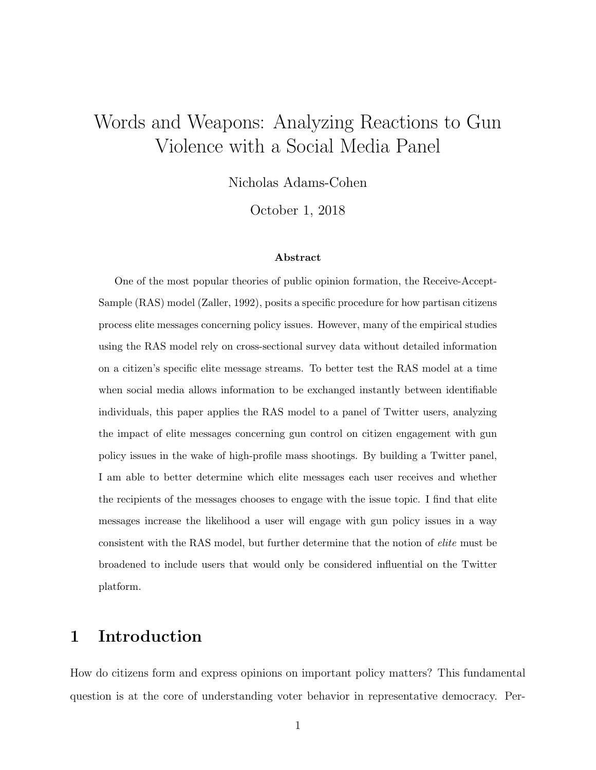# <span id="page-0-0"></span>Words and Weapons: Analyzing Reactions to Gun Violence with a Social Media Panel

Nicholas Adams-Cohen

October 1, 2018

#### Abstract

One of the most popular theories of public opinion formation, the Receive-Accept-Sample (RAS) model (Zaller, 1992), posits a specific procedure for how partisan citizens process elite messages concerning policy issues. However, many of the empirical studies using the RAS model rely on cross-sectional survey data without detailed information on a citizen's specific elite message streams. To better test the RAS model at a time when social media allows information to be exchanged instantly between identifiable individuals, this paper applies the RAS model to a panel of Twitter users, analyzing the impact of elite messages concerning gun control on citizen engagement with gun policy issues in the wake of high-profile mass shootings. By building a Twitter panel, I am able to better determine which elite messages each user receives and whether the recipients of the messages chooses to engage with the issue topic. I find that elite messages increase the likelihood a user will engage with gun policy issues in a way consistent with the RAS model, but further determine that the notion of elite must be broadened to include users that would only be considered influential on the Twitter platform.

### 1 Introduction

How do citizens form and express opinions on important policy matters? This fundamental question is at the core of understanding voter behavior in representative democracy. Per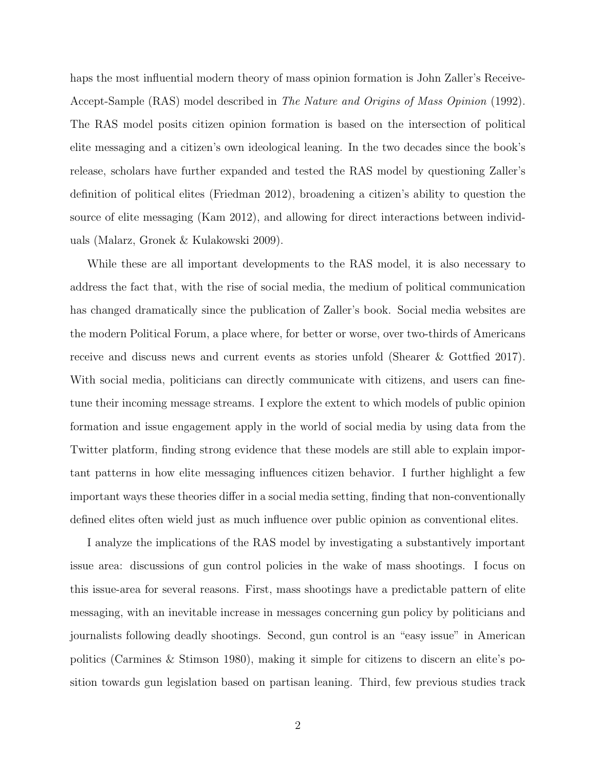haps the most influential modern theory of mass opinion formation is John Zaller's Receive-Accept-Sample (RAS) model described in The Nature and Origins of Mass Opinion (1992). The RAS model posits citizen opinion formation is based on the intersection of political elite messaging and a citizen's own ideological leaning. In the two decades since the book's release, scholars have further expanded and tested the RAS model by questioning Zaller's definition of political elites (Friedman 2012), broadening a citizen's ability to question the source of elite messaging (Kam 2012), and allowing for direct interactions between individuals (Malarz, Gronek & Kulakowski 2009).

While these are all important developments to the RAS model, it is also necessary to address the fact that, with the rise of social media, the medium of political communication has changed dramatically since the publication of Zaller's book. Social media websites are the modern Political Forum, a place where, for better or worse, over two-thirds of Americans receive and discuss news and current events as stories unfold (Shearer & Gottfied 2017). With social media, politicians can directly communicate with citizens, and users can finetune their incoming message streams. I explore the extent to which models of public opinion formation and issue engagement apply in the world of social media by using data from the Twitter platform, finding strong evidence that these models are still able to explain important patterns in how elite messaging influences citizen behavior. I further highlight a few important ways these theories differ in a social media setting, finding that non-conventionally defined elites often wield just as much influence over public opinion as conventional elites.

I analyze the implications of the RAS model by investigating a substantively important issue area: discussions of gun control policies in the wake of mass shootings. I focus on this issue-area for several reasons. First, mass shootings have a predictable pattern of elite messaging, with an inevitable increase in messages concerning gun policy by politicians and journalists following deadly shootings. Second, gun control is an "easy issue" in American politics (Carmines & Stimson 1980), making it simple for citizens to discern an elite's position towards gun legislation based on partisan leaning. Third, few previous studies track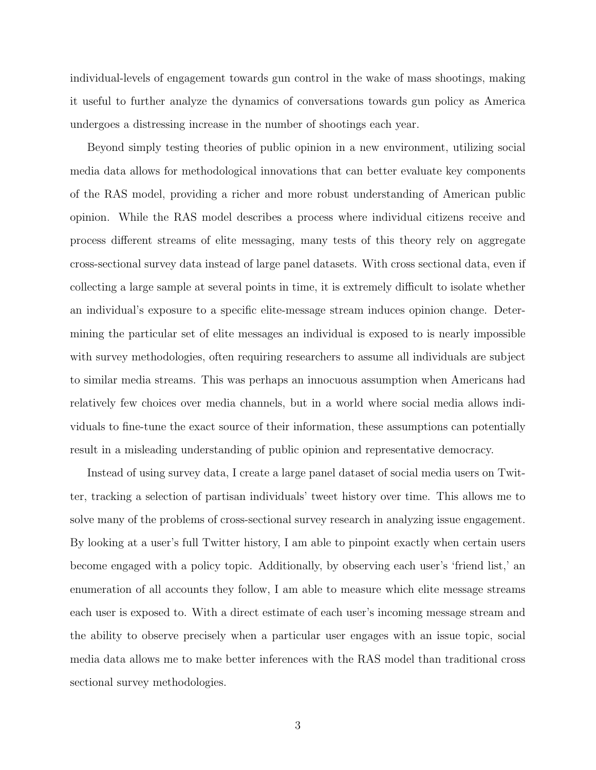individual-levels of engagement towards gun control in the wake of mass shootings, making it useful to further analyze the dynamics of conversations towards gun policy as America undergoes a distressing increase in the number of shootings each year.

Beyond simply testing theories of public opinion in a new environment, utilizing social media data allows for methodological innovations that can better evaluate key components of the RAS model, providing a richer and more robust understanding of American public opinion. While the RAS model describes a process where individual citizens receive and process different streams of elite messaging, many tests of this theory rely on aggregate cross-sectional survey data instead of large panel datasets. With cross sectional data, even if collecting a large sample at several points in time, it is extremely difficult to isolate whether an individual's exposure to a specific elite-message stream induces opinion change. Determining the particular set of elite messages an individual is exposed to is nearly impossible with survey methodologies, often requiring researchers to assume all individuals are subject to similar media streams. This was perhaps an innocuous assumption when Americans had relatively few choices over media channels, but in a world where social media allows individuals to fine-tune the exact source of their information, these assumptions can potentially result in a misleading understanding of public opinion and representative democracy.

Instead of using survey data, I create a large panel dataset of social media users on Twitter, tracking a selection of partisan individuals' tweet history over time. This allows me to solve many of the problems of cross-sectional survey research in analyzing issue engagement. By looking at a user's full Twitter history, I am able to pinpoint exactly when certain users become engaged with a policy topic. Additionally, by observing each user's 'friend list,' an enumeration of all accounts they follow, I am able to measure which elite message streams each user is exposed to. With a direct estimate of each user's incoming message stream and the ability to observe precisely when a particular user engages with an issue topic, social media data allows me to make better inferences with the RAS model than traditional cross sectional survey methodologies.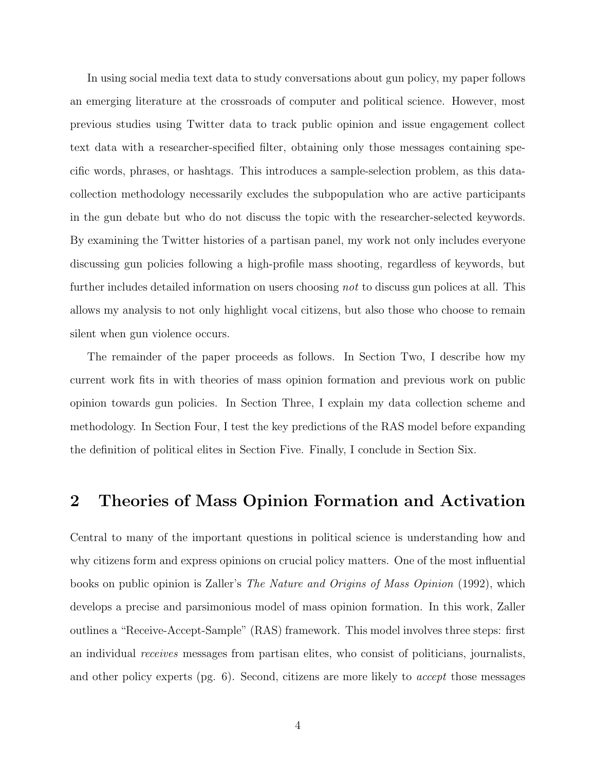In using social media text data to study conversations about gun policy, my paper follows an emerging literature at the crossroads of computer and political science. However, most previous studies using Twitter data to track public opinion and issue engagement collect text data with a researcher-specified filter, obtaining only those messages containing specific words, phrases, or hashtags. This introduces a sample-selection problem, as this datacollection methodology necessarily excludes the subpopulation who are active participants in the gun debate but who do not discuss the topic with the researcher-selected keywords. By examining the Twitter histories of a partisan panel, my work not only includes everyone discussing gun policies following a high-profile mass shooting, regardless of keywords, but further includes detailed information on users choosing not to discuss gun polices at all. This allows my analysis to not only highlight vocal citizens, but also those who choose to remain silent when gun violence occurs.

The remainder of the paper proceeds as follows. In Section Two, I describe how my current work fits in with theories of mass opinion formation and previous work on public opinion towards gun policies. In Section Three, I explain my data collection scheme and methodology. In Section Four, I test the key predictions of the RAS model before expanding the definition of political elites in Section Five. Finally, I conclude in Section Six.

### 2 Theories of Mass Opinion Formation and Activation

Central to many of the important questions in political science is understanding how and why citizens form and express opinions on crucial policy matters. One of the most influential books on public opinion is Zaller's The Nature and Origins of Mass Opinion (1992), which develops a precise and parsimonious model of mass opinion formation. In this work, Zaller outlines a "Receive-Accept-Sample" (RAS) framework. This model involves three steps: first an individual receives messages from partisan elites, who consist of politicians, journalists, and other policy experts (pg. 6). Second, citizens are more likely to accept those messages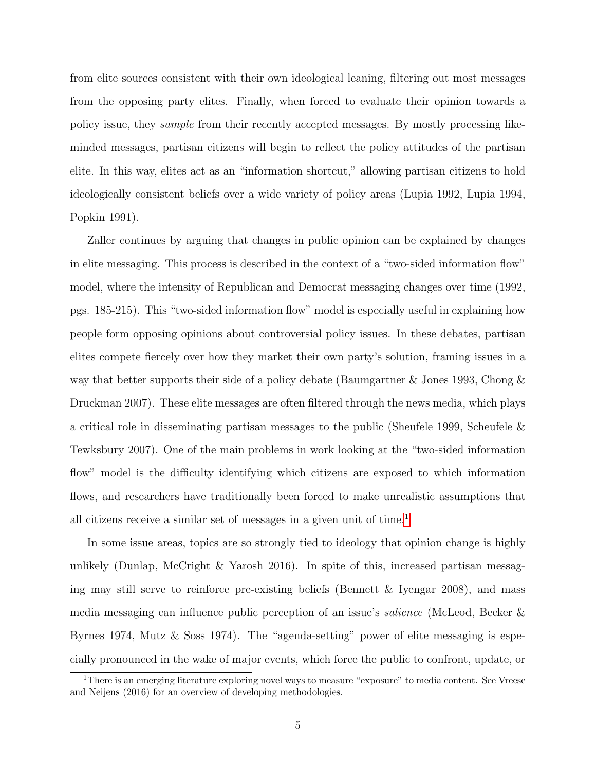from elite sources consistent with their own ideological leaning, filtering out most messages from the opposing party elites. Finally, when forced to evaluate their opinion towards a policy issue, they sample from their recently accepted messages. By mostly processing likeminded messages, partisan citizens will begin to reflect the policy attitudes of the partisan elite. In this way, elites act as an "information shortcut," allowing partisan citizens to hold ideologically consistent beliefs over a wide variety of policy areas (Lupia 1992, Lupia 1994, Popkin 1991).

Zaller continues by arguing that changes in public opinion can be explained by changes in elite messaging. This process is described in the context of a "two-sided information flow" model, where the intensity of Republican and Democrat messaging changes over time (1992, pgs. 185-215). This "two-sided information flow" model is especially useful in explaining how people form opposing opinions about controversial policy issues. In these debates, partisan elites compete fiercely over how they market their own party's solution, framing issues in a way that better supports their side of a policy debate (Baumgartner & Jones 1993, Chong & Druckman 2007). These elite messages are often filtered through the news media, which plays a critical role in disseminating partisan messages to the public (Sheufele 1999, Scheufele & Tewksbury 2007). One of the main problems in work looking at the "two-sided information flow" model is the difficulty identifying which citizens are exposed to which information flows, and researchers have traditionally been forced to make unrealistic assumptions that all citizens receive a similar set of messages in a given unit of time.<sup>[1](#page-0-0)</sup>

In some issue areas, topics are so strongly tied to ideology that opinion change is highly unlikely (Dunlap, McCright & Yarosh 2016). In spite of this, increased partisan messaging may still serve to reinforce pre-existing beliefs (Bennett & Iyengar 2008), and mass media messaging can influence public perception of an issue's salience (McLeod, Becker & Byrnes 1974, Mutz & Soss 1974). The "agenda-setting" power of elite messaging is especially pronounced in the wake of major events, which force the public to confront, update, or

<sup>&</sup>lt;sup>1</sup>There is an emerging literature exploring novel ways to measure "exposure" to media content. See Vreese and Neijens (2016) for an overview of developing methodologies.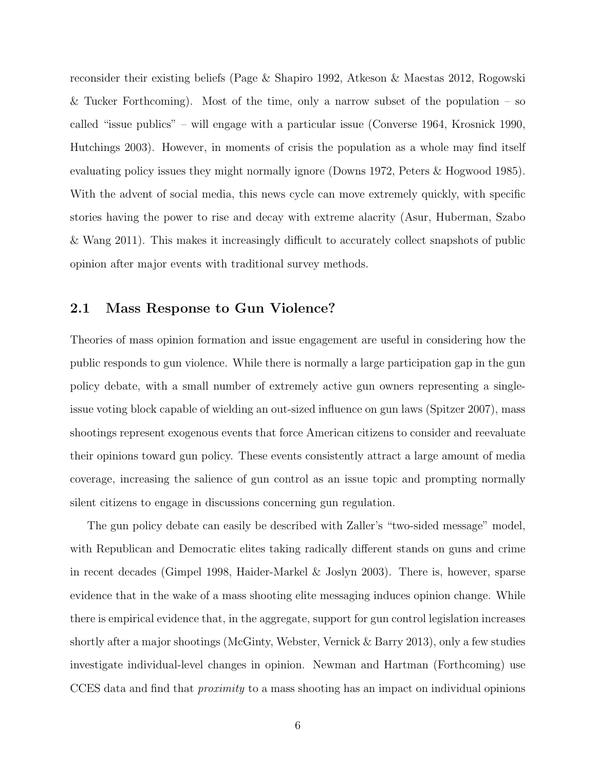reconsider their existing beliefs (Page & Shapiro 1992, Atkeson & Maestas 2012, Rogowski & Tucker Forthcoming). Most of the time, only a narrow subset of the population – so called "issue publics" – will engage with a particular issue (Converse 1964, Krosnick 1990, Hutchings 2003). However, in moments of crisis the population as a whole may find itself evaluating policy issues they might normally ignore (Downs 1972, Peters & Hogwood 1985). With the advent of social media, this news cycle can move extremely quickly, with specific stories having the power to rise and decay with extreme alacrity (Asur, Huberman, Szabo & Wang 2011). This makes it increasingly difficult to accurately collect snapshots of public opinion after major events with traditional survey methods.

#### 2.1 Mass Response to Gun Violence?

Theories of mass opinion formation and issue engagement are useful in considering how the public responds to gun violence. While there is normally a large participation gap in the gun policy debate, with a small number of extremely active gun owners representing a singleissue voting block capable of wielding an out-sized influence on gun laws (Spitzer 2007), mass shootings represent exogenous events that force American citizens to consider and reevaluate their opinions toward gun policy. These events consistently attract a large amount of media coverage, increasing the salience of gun control as an issue topic and prompting normally silent citizens to engage in discussions concerning gun regulation.

The gun policy debate can easily be described with Zaller's "two-sided message" model, with Republican and Democratic elites taking radically different stands on guns and crime in recent decades (Gimpel 1998, Haider-Markel & Joslyn 2003). There is, however, sparse evidence that in the wake of a mass shooting elite messaging induces opinion change. While there is empirical evidence that, in the aggregate, support for gun control legislation increases shortly after a major shootings (McGinty, Webster, Vernick & Barry 2013), only a few studies investigate individual-level changes in opinion. Newman and Hartman (Forthcoming) use CCES data and find that proximity to a mass shooting has an impact on individual opinions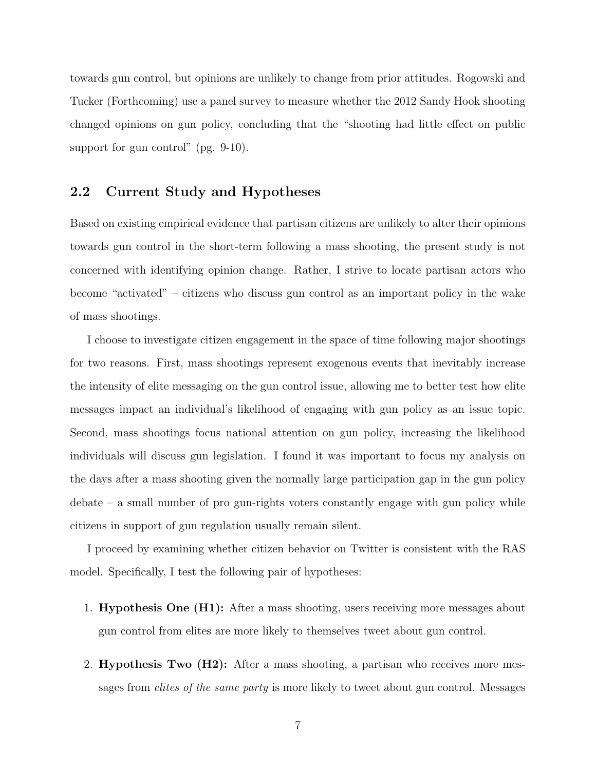towards gun control, but opinions are unlikely to change from prior attitudes. Rogowski and Tucker (Forthcoming) use a panel survey to measure whether the 2012 Sandy Hook shooting changed opinions on gun policy, concluding that the "shooting had little effect on public support for gun control" (pg. 9-10).

#### 2.2 Current Study and Hypotheses

Based on existing empirical evidence that partisan citizens are unlikely to alter their opinions towards gun control in the short-term following a mass shooting, the present study is not concerned with identifying opinion change. Rather, I strive to locate partisan actors who become "activated" – citizens who discuss gun control as an important policy in the wake of mass shootings.

I choose to investigate citizen engagement in the space of time following major shootings for two reasons. First, mass shootings represent exogenous events that inevitably increase the intensity of elite messaging on the gun control issue, allowing me to better test how elite messages impact an individual's likelihood of engaging with gun policy as an issue topic. Second, mass shootings focus national attention on gun policy, increasing the likelihood individuals will discuss gun legislation. I found it was important to focus my analysis on the days after a mass shooting given the normally large participation gap in the gun policy  $\alpha$  debate – a small number of pro gun-rights voters constantly engage with gun policy while citizens in support of gun regulation usually remain silent.

I proceed by examining whether citizen behavior on Twitter is consistent with the RAS model. Specifically, I test the following pair of hypotheses:

- 1. Hypothesis One (H1): After a mass shooting, users receiving more messages about gun control from elites are more likely to themselves tweet about gun control.
- 2. Hypothesis Two (H2): After a mass shooting, a partisan who receives more messages from *elites of the same party* is more likely to tweet about gun control. Messages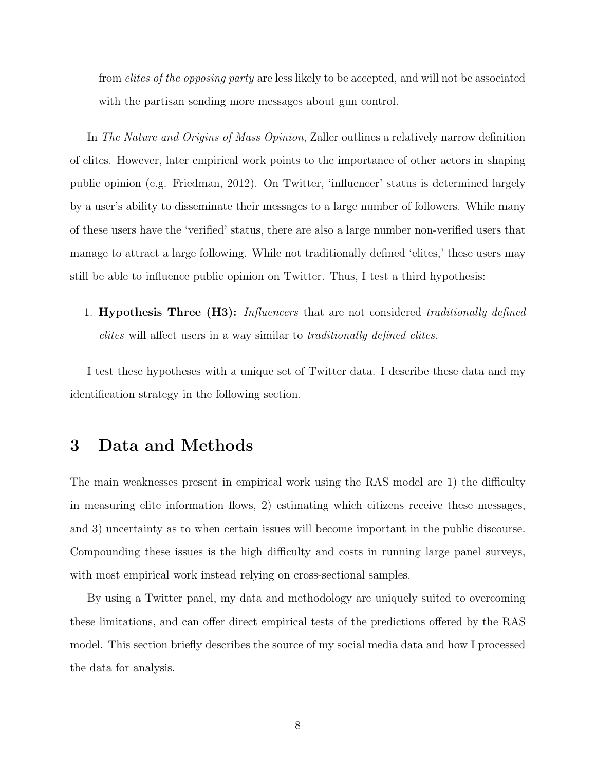from elites of the opposing party are less likely to be accepted, and will not be associated with the partisan sending more messages about gun control.

In The Nature and Origins of Mass Opinion, Zaller outlines a relatively narrow definition of elites. However, later empirical work points to the importance of other actors in shaping public opinion (e.g. Friedman, 2012). On Twitter, 'influencer' status is determined largely by a user's ability to disseminate their messages to a large number of followers. While many of these users have the 'verified' status, there are also a large number non-verified users that manage to attract a large following. While not traditionally defined 'elites,' these users may still be able to influence public opinion on Twitter. Thus, I test a third hypothesis:

1. Hypothesis Three (H3): Influencers that are not considered traditionally defined elites will affect users in a way similar to traditionally defined elites.

I test these hypotheses with a unique set of Twitter data. I describe these data and my identification strategy in the following section.

### 3 Data and Methods

The main weaknesses present in empirical work using the RAS model are 1) the difficulty in measuring elite information flows, 2) estimating which citizens receive these messages, and 3) uncertainty as to when certain issues will become important in the public discourse. Compounding these issues is the high difficulty and costs in running large panel surveys, with most empirical work instead relying on cross-sectional samples.

By using a Twitter panel, my data and methodology are uniquely suited to overcoming these limitations, and can offer direct empirical tests of the predictions offered by the RAS model. This section briefly describes the source of my social media data and how I processed the data for analysis.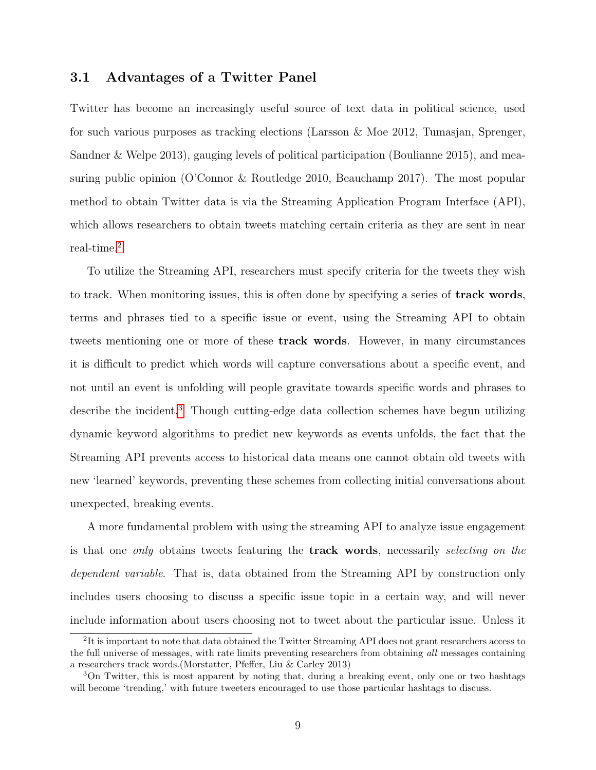#### 3.1 Advantages of a Twitter Panel

Twitter has become an increasingly useful source of text data in political science, used for such various purposes as tracking elections (Larsson & Moe 2012, Tumasjan, Sprenger, Sandner & Welpe 2013), gauging levels of political participation (Boulianne 2015), and measuring public opinion (O'Connor & Routledge 2010, Beauchamp 2017). The most popular method to obtain Twitter data is via the Streaming Application Program Interface (API), which allows researchers to obtain tweets matching certain criteria as they are sent in near real-time.[2](#page-0-0)

To utilize the Streaming API, researchers must specify criteria for the tweets they wish to track. When monitoring issues, this is often done by specifying a series of track words, terms and phrases tied to a specific issue or event, using the Streaming API to obtain tweets mentioning one or more of these track words. However, in many circumstances it is difficult to predict which words will capture conversations about a specific event, and not until an event is unfolding will people gravitate towards specific words and phrases to describe the incident.[3](#page-0-0) Though cutting-edge data collection schemes have begun utilizing dynamic keyword algorithms to predict new keywords as events unfolds, the fact that the Streaming API prevents access to historical data means one cannot obtain old tweets with new 'learned' keywords, preventing these schemes from collecting initial conversations about unexpected, breaking events.

A more fundamental problem with using the streaming API to analyze issue engagement is that one *only* obtains tweets featuring the **track words**, necessarily selecting on the dependent variable. That is, data obtained from the Streaming API by construction only includes users choosing to discuss a specific issue topic in a certain way, and will never include information about users choosing not to tweet about the particular issue. Unless it

<sup>&</sup>lt;sup>2</sup>It is important to note that data obtained the Twitter Streaming API does not grant researchers access to the full universe of messages, with rate limits preventing researchers from obtaining all messages containing a researchers track words.(Morstatter, Pfeffer, Liu & Carley 2013)

<sup>3</sup>On Twitter, this is most apparent by noting that, during a breaking event, only one or two hashtags will become 'trending,' with future tweeters encouraged to use those particular hashtags to discuss.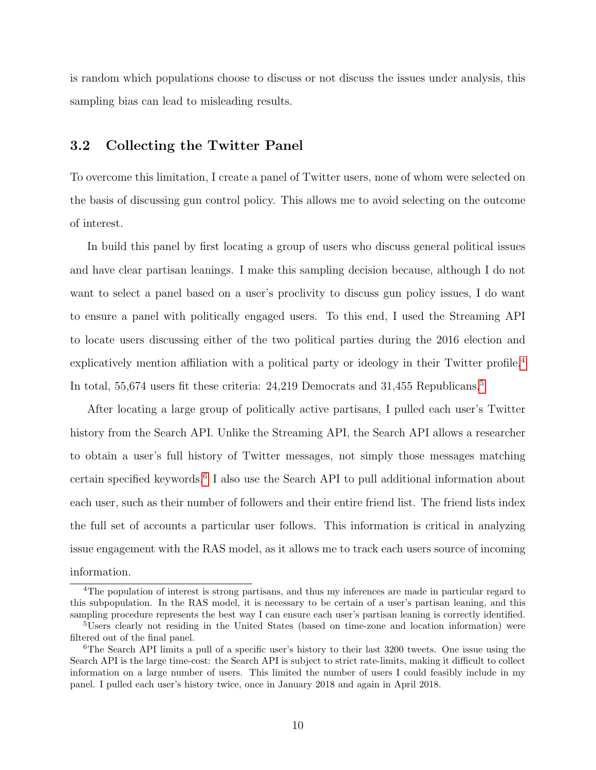is random which populations choose to discuss or not discuss the issues under analysis, this sampling bias can lead to misleading results.

### 3.2 Collecting the Twitter Panel

To overcome this limitation, I create a panel of Twitter users, none of whom were selected on the basis of discussing gun control policy. This allows me to avoid selecting on the outcome of interest.

In build this panel by first locating a group of users who discuss general political issues and have clear partisan leanings. I make this sampling decision because, although I do not want to select a panel based on a user's proclivity to discuss gun policy issues, I do want to ensure a panel with politically engaged users. To this end, I used the Streaming API to locate users discussing either of the two political parties during the 2016 election and explicatively mention affiliation with a political party or ideology in their Twitter profile.<sup>[4](#page-0-0)</sup> In total, [5](#page-0-0)5,674 users fit these criteria: 24,219 Democrats and 31,455 Republicans.<sup>5</sup>

After locating a large group of politically active partisans, I pulled each user's Twitter history from the Search API. Unlike the Streaming API, the Search API allows a researcher to obtain a user's full history of Twitter messages, not simply those messages matching certain specified keywords.<sup>[6](#page-0-0)</sup> I also use the Search API to pull additional information about each user, such as their number of followers and their entire friend list. The friend lists index the full set of accounts a particular user follows. This information is critical in analyzing issue engagement with the RAS model, as it allows me to track each users source of incoming information.

<sup>&</sup>lt;sup>4</sup>The population of interest is strong partisans, and thus my inferences are made in particular regard to this subpopulation. In the RAS model, it is necessary to be certain of a user's partisan leaning, and this sampling procedure represents the best way I can ensure each user's partisan leaning is correctly identified.

<sup>&</sup>lt;sup>5</sup>Users clearly not residing in the United States (based on time-zone and location information) were filtered out of the final panel.

<sup>&</sup>lt;sup>6</sup>The Search API limits a pull of a specific user's history to their last 3200 tweets. One issue using the Search API is the large time-cost: the Search API is subject to strict rate-limits, making it difficult to collect information on a large number of users. This limited the number of users I could feasibly include in my panel. I pulled each user's history twice, once in January 2018 and again in April 2018.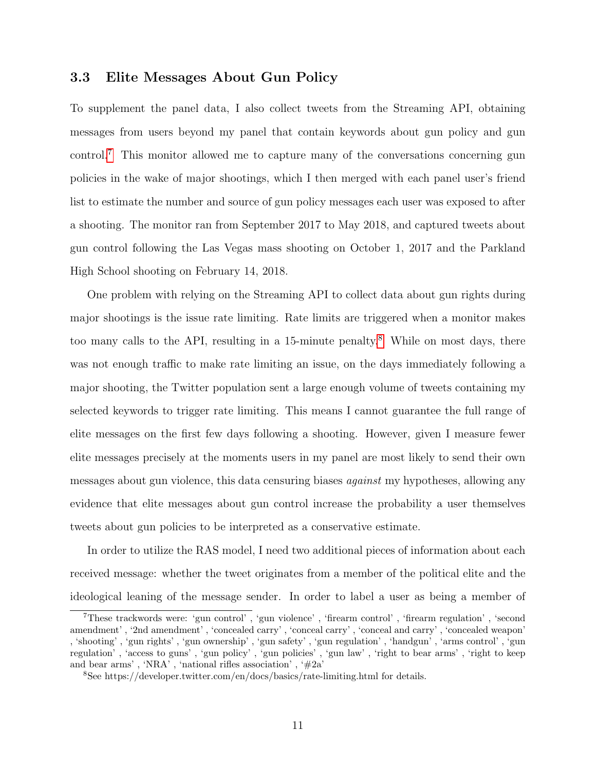#### 3.3 Elite Messages About Gun Policy

To supplement the panel data, I also collect tweets from the Streaming API, obtaining messages from users beyond my panel that contain keywords about gun policy and gun control.[7](#page-0-0) This monitor allowed me to capture many of the conversations concerning gun policies in the wake of major shootings, which I then merged with each panel user's friend list to estimate the number and source of gun policy messages each user was exposed to after a shooting. The monitor ran from September 2017 to May 2018, and captured tweets about gun control following the Las Vegas mass shooting on October 1, 2017 and the Parkland High School shooting on February 14, 2018.

One problem with relying on the Streaming API to collect data about gun rights during major shootings is the issue rate limiting. Rate limits are triggered when a monitor makes too many calls to the API, resulting in a  $15$ -minute penalty.<sup>[8](#page-0-0)</sup> While on most days, there was not enough traffic to make rate limiting an issue, on the days immediately following a major shooting, the Twitter population sent a large enough volume of tweets containing my selected keywords to trigger rate limiting. This means I cannot guarantee the full range of elite messages on the first few days following a shooting. However, given I measure fewer elite messages precisely at the moments users in my panel are most likely to send their own messages about gun violence, this data censuring biases *against* my hypotheses, allowing any evidence that elite messages about gun control increase the probability a user themselves tweets about gun policies to be interpreted as a conservative estimate.

In order to utilize the RAS model, I need two additional pieces of information about each received message: whether the tweet originates from a member of the political elite and the ideological leaning of the message sender. In order to label a user as being a member of

<sup>7</sup>These trackwords were: 'gun control' , 'gun violence' , 'firearm control' , 'firearm regulation' , 'second amendment' , '2nd amendment' , 'concealed carry' , 'conceal carry' , 'conceal and carry' , 'concealed weapon' , 'shooting' , 'gun rights' , 'gun ownership' , 'gun safety' , 'gun regulation' , 'handgun' , 'arms control' , 'gun regulation' , 'access to guns' , 'gun policy' , 'gun policies' , 'gun law' , 'right to bear arms' , 'right to keep and bear arms', 'NRA', 'national rifles association', ' $#2a'$ 

<sup>8</sup>See https://developer.twitter.com/en/docs/basics/rate-limiting.html for details.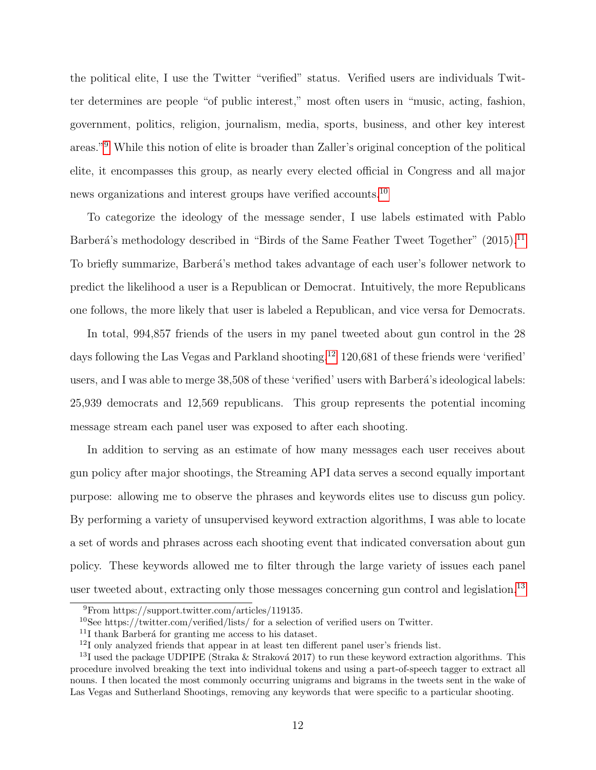the political elite, I use the Twitter "verified" status. Verified users are individuals Twitter determines are people "of public interest," most often users in "music, acting, fashion, government, politics, religion, journalism, media, sports, business, and other key interest areas."[9](#page-0-0) While this notion of elite is broader than Zaller's original conception of the political elite, it encompasses this group, as nearly every elected official in Congress and all major news organizations and interest groups have verified accounts.[10](#page-0-0)

To categorize the ideology of the message sender, I use labels estimated with Pablo Barberá's methodology described in "Birds of the Same Feather Tweet Together" (2015).<sup>[11](#page-0-0)</sup> To briefly summarize, Barberá's method takes advantage of each user's follower network to predict the likelihood a user is a Republican or Democrat. Intuitively, the more Republicans one follows, the more likely that user is labeled a Republican, and vice versa for Democrats.

In total, 994,857 friends of the users in my panel tweeted about gun control in the 28 days following the Las Vegas and Parkland shooting.<sup>[12](#page-0-0)</sup> 120,681 of these friends were 'verified' users, and I was able to merge 38,508 of these 'verified' users with Barberá's ideological labels: 25,939 democrats and 12,569 republicans. This group represents the potential incoming message stream each panel user was exposed to after each shooting.

In addition to serving as an estimate of how many messages each user receives about gun policy after major shootings, the Streaming API data serves a second equally important purpose: allowing me to observe the phrases and keywords elites use to discuss gun policy. By performing a variety of unsupervised keyword extraction algorithms, I was able to locate a set of words and phrases across each shooting event that indicated conversation about gun policy. These keywords allowed me to filter through the large variety of issues each panel user tweeted about, extracting only those messages concerning gun control and legislation.<sup>[13](#page-0-0)</sup>

<sup>9</sup>From https://support.twitter.com/articles/119135.

 $10$ See https://twitter.com/verified/lists/ for a selection of verified users on Twitter.

 $11$ I thank Barberá for granting me access to his dataset.

<sup>12</sup>I only analyzed friends that appear in at least ten different panel user's friends list.

<sup>&</sup>lt;sup>13</sup>I used the package UDPIPE (Straka & Straková 2017) to run these keyword extraction algorithms. This procedure involved breaking the text into individual tokens and using a part-of-speech tagger to extract all nouns. I then located the most commonly occurring unigrams and bigrams in the tweets sent in the wake of Las Vegas and Sutherland Shootings, removing any keywords that were specific to a particular shooting.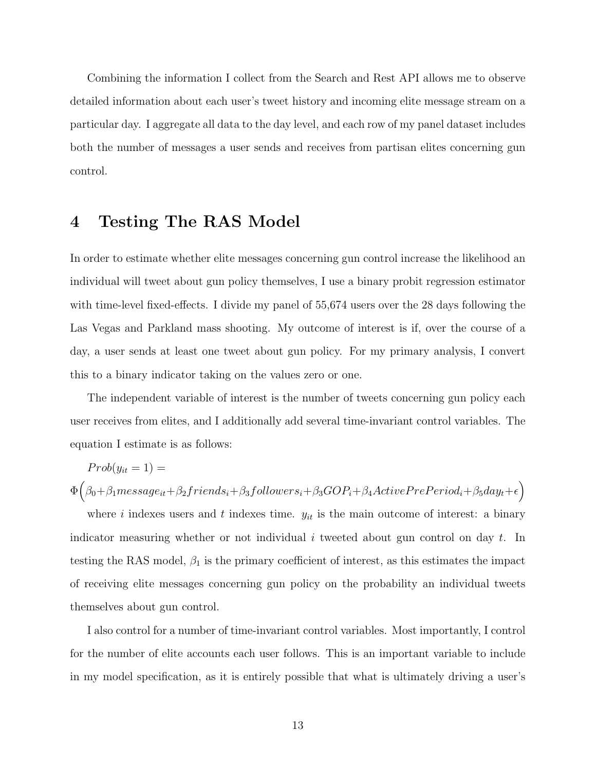Combining the information I collect from the Search and Rest API allows me to observe detailed information about each user's tweet history and incoming elite message stream on a particular day. I aggregate all data to the day level, and each row of my panel dataset includes both the number of messages a user sends and receives from partisan elites concerning gun control.

### 4 Testing The RAS Model

In order to estimate whether elite messages concerning gun control increase the likelihood an individual will tweet about gun policy themselves, I use a binary probit regression estimator with time-level fixed-effects. I divide my panel of 55,674 users over the 28 days following the Las Vegas and Parkland mass shooting. My outcome of interest is if, over the course of a day, a user sends at least one tweet about gun policy. For my primary analysis, I convert this to a binary indicator taking on the values zero or one.

The independent variable of interest is the number of tweets concerning gun policy each user receives from elites, and I additionally add several time-invariant control variables. The equation I estimate is as follows:

 $Prob(y_{it} = 1) =$ 

$$
\Phi\big(\beta_0+\beta_1 message_{it}+\beta_2 friends_i+\beta_3 follows_i+\beta_3 GOP_i+\beta_4 ActivePrePeriod_i+\beta_5 day_t+\epsilon\big)
$$

where i indexes users and t indexes time.  $y_{it}$  is the main outcome of interest: a binary indicator measuring whether or not individual i tweeted about gun control on day t. In testing the RAS model,  $\beta_1$  is the primary coefficient of interest, as this estimates the impact of receiving elite messages concerning gun policy on the probability an individual tweets themselves about gun control.

I also control for a number of time-invariant control variables. Most importantly, I control for the number of elite accounts each user follows. This is an important variable to include in my model specification, as it is entirely possible that what is ultimately driving a user's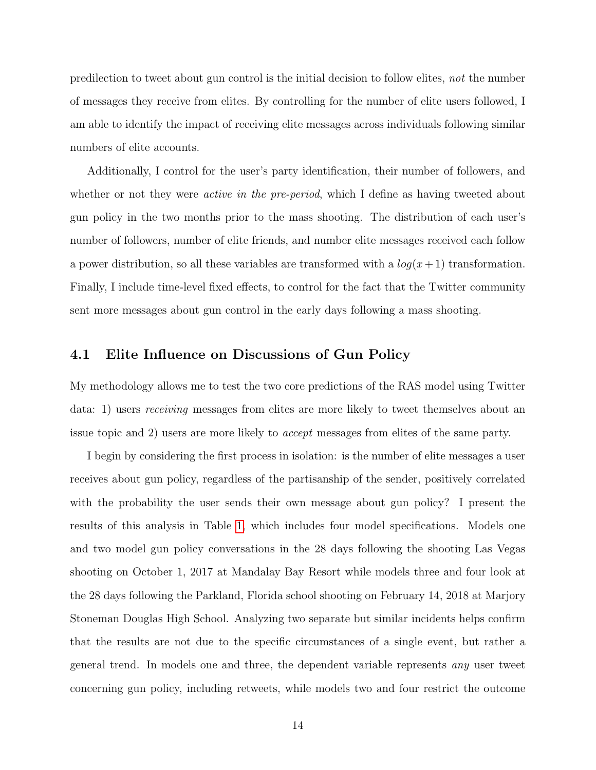predilection to tweet about gun control is the initial decision to follow elites, not the number of messages they receive from elites. By controlling for the number of elite users followed, I am able to identify the impact of receiving elite messages across individuals following similar numbers of elite accounts.

Additionally, I control for the user's party identification, their number of followers, and whether or not they were *active in the pre-period*, which I define as having tweeted about gun policy in the two months prior to the mass shooting. The distribution of each user's number of followers, number of elite friends, and number elite messages received each follow a power distribution, so all these variables are transformed with a  $log(x+1)$  transformation. Finally, I include time-level fixed effects, to control for the fact that the Twitter community sent more messages about gun control in the early days following a mass shooting.

#### 4.1 Elite Influence on Discussions of Gun Policy

My methodology allows me to test the two core predictions of the RAS model using Twitter data: 1) users receiving messages from elites are more likely to tweet themselves about an issue topic and 2) users are more likely to accept messages from elites of the same party.

I begin by considering the first process in isolation: is the number of elite messages a user receives about gun policy, regardless of the partisanship of the sender, positively correlated with the probability the user sends their own message about gun policy? I present the results of this analysis in Table [1,](#page-14-0) which includes four model specifications. Models one and two model gun policy conversations in the 28 days following the shooting Las Vegas shooting on October 1, 2017 at Mandalay Bay Resort while models three and four look at the 28 days following the Parkland, Florida school shooting on February 14, 2018 at Marjory Stoneman Douglas High School. Analyzing two separate but similar incidents helps confirm that the results are not due to the specific circumstances of a single event, but rather a general trend. In models one and three, the dependent variable represents any user tweet concerning gun policy, including retweets, while models two and four restrict the outcome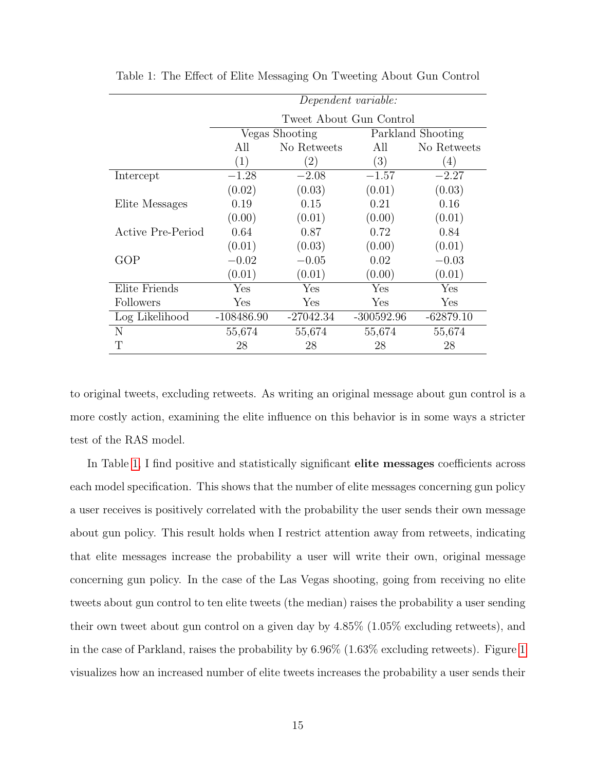|                          | Dependent variable:     |                |                   |             |
|--------------------------|-------------------------|----------------|-------------------|-------------|
|                          | Tweet About Gun Control |                |                   |             |
|                          |                         | Vegas Shooting | Parkland Shooting |             |
|                          | All                     | No Retweets    |                   | No Retweets |
|                          | (1)                     | (2)            | (3)               | (4)         |
| Intercept                | $-1.28$                 | $-2.08$        | $-1.57$           | $-2.27$     |
|                          | (0.02)                  | (0.03)         | (0.01)            | (0.03)      |
| Elite Messages           | 0.19                    | 0.15           | 0.21              | 0.16        |
|                          | (0.00)                  | (0.01)         | (0.00)            | (0.01)      |
| <b>Active Pre-Period</b> | 0.64                    | 0.87           | 0.72              | 0.84        |
|                          | (0.01)                  | (0.03)         | (0.00)            | (0.01)      |
| GOP                      | $-0.02$                 | $-0.05$        | 0.02              | $-0.03$     |
|                          | (0.01)                  | (0.01)         | (0.00)            | (0.01)      |
| Elite Friends            | Yes                     | Yes            | Yes               | Yes         |
| Followers                | Yes                     | Yes            | Yes               | Yes         |
| Log Likelihood           | $-108486.90$            | $-27042.34$    | $-300592.96$      | $-62879.10$ |
| N                        | 55,674                  | 55,674         | 55,674            | 55,674      |
| Т                        | 28                      | 28             | 28                | 28          |

<span id="page-14-0"></span>Table 1: The Effect of Elite Messaging On Tweeting About Gun Control

to original tweets, excluding retweets. As writing an original message about gun control is a more costly action, examining the elite influence on this behavior is in some ways a stricter test of the RAS model.

In Table [1,](#page-14-0) I find positive and statistically significant elite messages coefficients across each model specification. This shows that the number of elite messages concerning gun policy a user receives is positively correlated with the probability the user sends their own message about gun policy. This result holds when I restrict attention away from retweets, indicating that elite messages increase the probability a user will write their own, original message concerning gun policy. In the case of the Las Vegas shooting, going from receiving no elite tweets about gun control to ten elite tweets (the median) raises the probability a user sending their own tweet about gun control on a given day by 4.85% (1.05% excluding retweets), and in the case of Parkland, raises the probability by 6.96% (1.63% excluding retweets). Figure [1](#page-15-0) visualizes how an increased number of elite tweets increases the probability a user sends their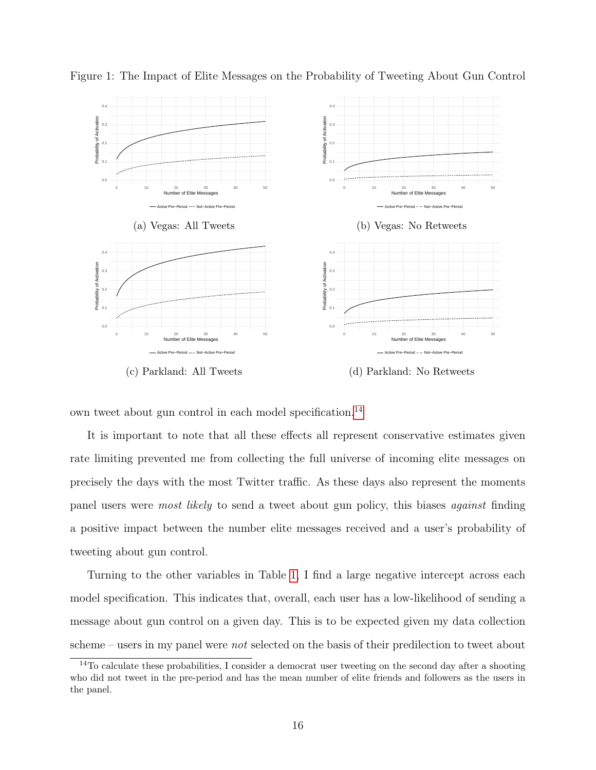

<span id="page-15-0"></span>Figure 1: The Impact of Elite Messages on the Probability of Tweeting About Gun Control



own tweet about gun control in each model specification.[14](#page-0-0)

It is important to note that all these effects all represent conservative estimates given rate limiting prevented me from collecting the full universe of incoming elite messages on precisely the days with the most Twitter traffic. As these days also represent the moments panel users were most likely to send a tweet about gun policy, this biases against finding a positive impact between the number elite messages received and a user's probability of tweeting about gun control.

Turning to the other variables in Table [1,](#page-14-0) I find a large negative intercept across each model specification. This indicates that, overall, each user has a low-likelihood of sending a message about gun control on a given day. This is to be expected given my data collection scheme – users in my panel were *not* selected on the basis of their predilection to tweet about

<sup>&</sup>lt;sup>14</sup>To calculate these probabilities, I consider a democrat user tweeting on the second day after a shooting who did not tweet in the pre-period and has the mean number of elite friends and followers as the users in the panel.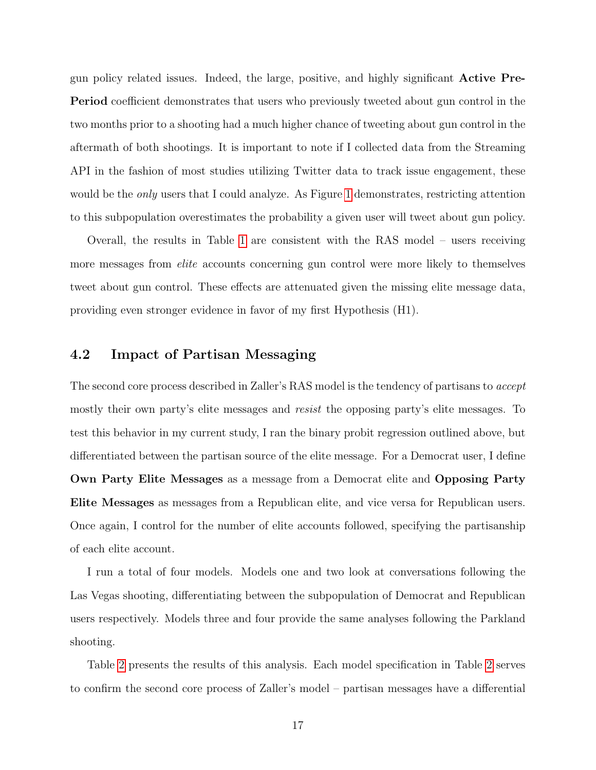gun policy related issues. Indeed, the large, positive, and highly significant Active Pre-Period coefficient demonstrates that users who previously tweeted about gun control in the two months prior to a shooting had a much higher chance of tweeting about gun control in the aftermath of both shootings. It is important to note if I collected data from the Streaming API in the fashion of most studies utilizing Twitter data to track issue engagement, these would be the *only* users that I could analyze. As Figure [1](#page-15-0) demonstrates, restricting attention to this subpopulation overestimates the probability a given user will tweet about gun policy.

Overall, the results in Table [1](#page-14-0) are consistent with the RAS model – users receiving more messages from *elite* accounts concerning gun control were more likely to themselves tweet about gun control. These effects are attenuated given the missing elite message data, providing even stronger evidence in favor of my first Hypothesis (H1).

#### 4.2 Impact of Partisan Messaging

The second core process described in Zaller's RAS model is the tendency of partisans to *accept* mostly their own party's elite messages and *resist* the opposing party's elite messages. To test this behavior in my current study, I ran the binary probit regression outlined above, but differentiated between the partisan source of the elite message. For a Democrat user, I define Own Party Elite Messages as a message from a Democrat elite and Opposing Party Elite Messages as messages from a Republican elite, and vice versa for Republican users. Once again, I control for the number of elite accounts followed, specifying the partisanship of each elite account.

I run a total of four models. Models one and two look at conversations following the Las Vegas shooting, differentiating between the subpopulation of Democrat and Republican users respectively. Models three and four provide the same analyses following the Parkland shooting.

Table [2](#page-17-0) presents the results of this analysis. Each model specification in Table [2](#page-17-0) serves to confirm the second core process of Zaller's model – partisan messages have a differential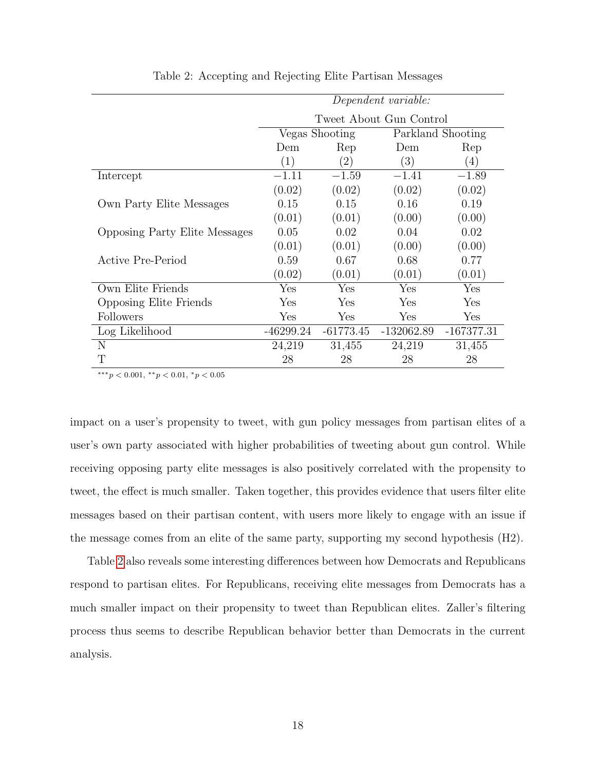<span id="page-17-0"></span>

|                                      | Dependent variable:     |                   |              |                   |
|--------------------------------------|-------------------------|-------------------|--------------|-------------------|
|                                      | Tweet About Gun Control |                   |              |                   |
|                                      | Vegas Shooting          |                   |              | Parkland Shooting |
|                                      | Dem                     | Rep               | Dem          | Rep               |
|                                      | (1)                     | $\left( 2\right)$ | (3)          | (4)               |
| Intercept                            | $-1.11$                 | $-1.59$           | $-1.41$      | $-1.89$           |
|                                      | (0.02)                  | (0.02)            | (0.02)       | (0.02)            |
| Own Party Elite Messages             | 0.15                    | 0.15              | 0.16         | 0.19              |
|                                      | (0.01)                  | (0.01)            | (0.00)       | (0.00)            |
| <b>Opposing Party Elite Messages</b> | 0.05                    | 0.02              | 0.04         | 0.02              |
|                                      | (0.01)                  | (0.01)            | (0.00)       | (0.00)            |
| <b>Active Pre-Period</b>             | 0.59                    | 0.67              | 0.68         | 0.77              |
|                                      | (0.02)                  | (0.01)            | (0.01)       | (0.01)            |
| Own Elite Friends                    | Yes                     | Yes               | Yes          | Yes               |
| <b>Opposing Elite Friends</b>        | Yes                     | Yes               | Yes          | Yes               |
| <b>Followers</b>                     | Yes                     | Yes               | Yes          | Yes               |
| Log Likelihood                       | -46299.24               | $-61773.45$       | $-132062.89$ | $-167377.31$      |
| N                                    | 24,219                  | 31,455            | 24,219       | 31,455            |
| Т                                    | 28                      | 28                | 28           | 28                |

Table 2: Accepting and Rejecting Elite Partisan Messages

∗∗∗p < 0.001, ∗∗p < 0.01, <sup>∗</sup>p < 0.05

impact on a user's propensity to tweet, with gun policy messages from partisan elites of a user's own party associated with higher probabilities of tweeting about gun control. While receiving opposing party elite messages is also positively correlated with the propensity to tweet, the effect is much smaller. Taken together, this provides evidence that users filter elite messages based on their partisan content, with users more likely to engage with an issue if the message comes from an elite of the same party, supporting my second hypothesis (H2).

Table [2](#page-17-0) also reveals some interesting differences between how Democrats and Republicans respond to partisan elites. For Republicans, receiving elite messages from Democrats has a much smaller impact on their propensity to tweet than Republican elites. Zaller's filtering process thus seems to describe Republican behavior better than Democrats in the current analysis.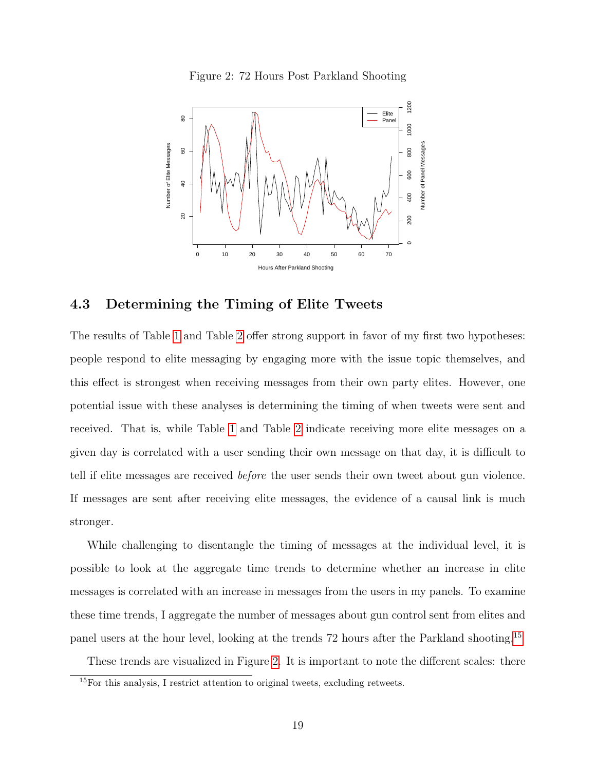Figure 2: 72 Hours Post Parkland Shooting

<span id="page-18-0"></span>

#### 4.3 Determining the Timing of Elite Tweets

The results of Table [1](#page-14-0) and Table [2](#page-17-0) offer strong support in favor of my first two hypotheses: people respond to elite messaging by engaging more with the issue topic themselves, and this effect is strongest when receiving messages from their own party elites. However, one potential issue with these analyses is determining the timing of when tweets were sent and received. That is, while Table [1](#page-14-0) and Table [2](#page-17-0) indicate receiving more elite messages on a given day is correlated with a user sending their own message on that day, it is difficult to tell if elite messages are received before the user sends their own tweet about gun violence. If messages are sent after receiving elite messages, the evidence of a causal link is much stronger.

While challenging to disentangle the timing of messages at the individual level, it is possible to look at the aggregate time trends to determine whether an increase in elite messages is correlated with an increase in messages from the users in my panels. To examine these time trends, I aggregate the number of messages about gun control sent from elites and panel users at the hour level, looking at the trends 72 hours after the Parkland shooting.[15](#page-0-0)

These trends are visualized in Figure [2.](#page-18-0) It is important to note the different scales: there

 $^{15}$  For this analysis, I restrict attention to original tweets, excluding retweets.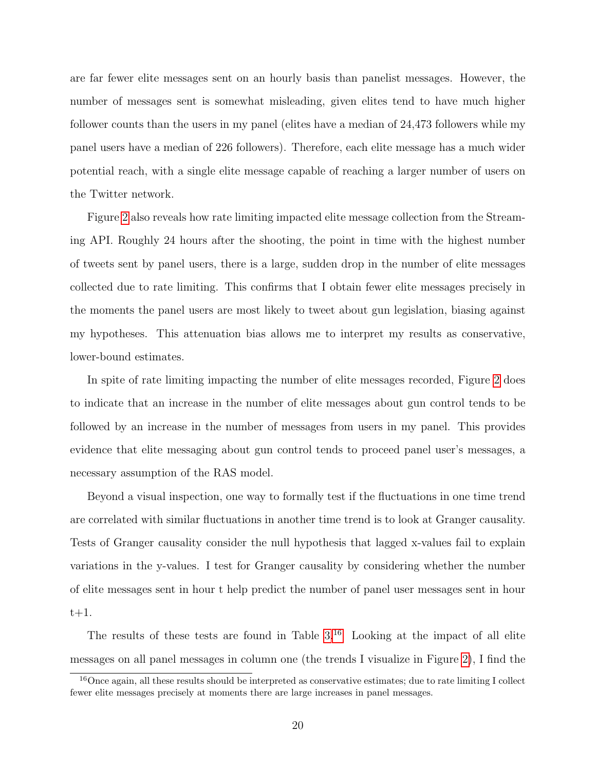are far fewer elite messages sent on an hourly basis than panelist messages. However, the number of messages sent is somewhat misleading, given elites tend to have much higher follower counts than the users in my panel (elites have a median of 24,473 followers while my panel users have a median of 226 followers). Therefore, each elite message has a much wider potential reach, with a single elite message capable of reaching a larger number of users on the Twitter network.

Figure [2](#page-18-0) also reveals how rate limiting impacted elite message collection from the Streaming API. Roughly 24 hours after the shooting, the point in time with the highest number of tweets sent by panel users, there is a large, sudden drop in the number of elite messages collected due to rate limiting. This confirms that I obtain fewer elite messages precisely in the moments the panel users are most likely to tweet about gun legislation, biasing against my hypotheses. This attenuation bias allows me to interpret my results as conservative, lower-bound estimates.

In spite of rate limiting impacting the number of elite messages recorded, Figure [2](#page-18-0) does to indicate that an increase in the number of elite messages about gun control tends to be followed by an increase in the number of messages from users in my panel. This provides evidence that elite messaging about gun control tends to proceed panel user's messages, a necessary assumption of the RAS model.

Beyond a visual inspection, one way to formally test if the fluctuations in one time trend are correlated with similar fluctuations in another time trend is to look at Granger causality. Tests of Granger causality consider the null hypothesis that lagged x-values fail to explain variations in the y-values. I test for Granger causality by considering whether the number of elite messages sent in hour t help predict the number of panel user messages sent in hour  $t+1$ .

The results of these tests are found in Table  $3^{16}$  $3^{16}$  $3^{16}$  Looking at the impact of all elite messages on all panel messages in column one (the trends I visualize in Figure [2\)](#page-18-0), I find the

<sup>&</sup>lt;sup>16</sup>Once again, all these results should be interpreted as conservative estimates; due to rate limiting I collect fewer elite messages precisely at moments there are large increases in panel messages.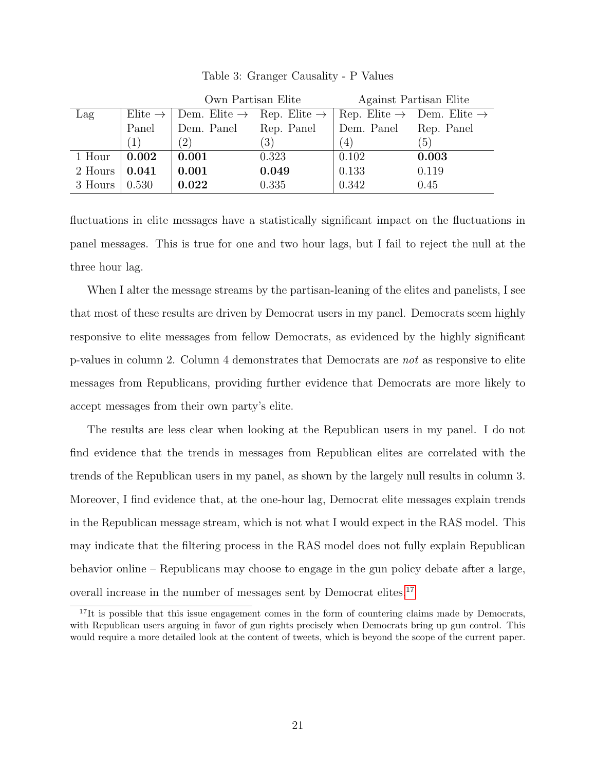<span id="page-20-0"></span>

|         |                     | Own Partisan Elite                                |                  | Against Partisan Elite |                                                   |
|---------|---------------------|---------------------------------------------------|------------------|------------------------|---------------------------------------------------|
| Lag     | Elite $\rightarrow$ | Dem. Elite $\rightarrow$ Rep. Elite $\rightarrow$ |                  |                        | Rep. Elite $\rightarrow$ Dem. Elite $\rightarrow$ |
|         | Panel               | Dem. Panel                                        | Rep. Panel       | Dem. Panel             | Rep. Panel                                        |
|         | (1)                 | $^{\prime}2)$                                     | $\left(3\right)$ | (4)                    | (5)                                               |
| 1 Hour  | $\,0.002\,$         | 0.001                                             | 0.323            | 0.102                  | 0.003                                             |
| 2 Hours | 0.041               | 0.001                                             | 0.049            | 0.133                  | 0.119                                             |
| 3 Hours | 0.530               | 0.022                                             | 0.335            | 0.342                  | 0.45                                              |

Table 3: Granger Causality - P Values

fluctuations in elite messages have a statistically significant impact on the fluctuations in panel messages. This is true for one and two hour lags, but I fail to reject the null at the three hour lag.

When I alter the message streams by the partisan-leaning of the elites and panelists, I see that most of these results are driven by Democrat users in my panel. Democrats seem highly responsive to elite messages from fellow Democrats, as evidenced by the highly significant p-values in column 2. Column 4 demonstrates that Democrats are not as responsive to elite messages from Republicans, providing further evidence that Democrats are more likely to accept messages from their own party's elite.

The results are less clear when looking at the Republican users in my panel. I do not find evidence that the trends in messages from Republican elites are correlated with the trends of the Republican users in my panel, as shown by the largely null results in column 3. Moreover, I find evidence that, at the one-hour lag, Democrat elite messages explain trends in the Republican message stream, which is not what I would expect in the RAS model. This may indicate that the filtering process in the RAS model does not fully explain Republican behavior online – Republicans may choose to engage in the gun policy debate after a large, overall increase in the number of messages sent by Democrat elites.<sup>[17](#page-0-0)</sup>

<sup>&</sup>lt;sup>17</sup>It is possible that this issue engagement comes in the form of countering claims made by Democrats, with Republican users arguing in favor of gun rights precisely when Democrats bring up gun control. This would require a more detailed look at the content of tweets, which is beyond the scope of the current paper.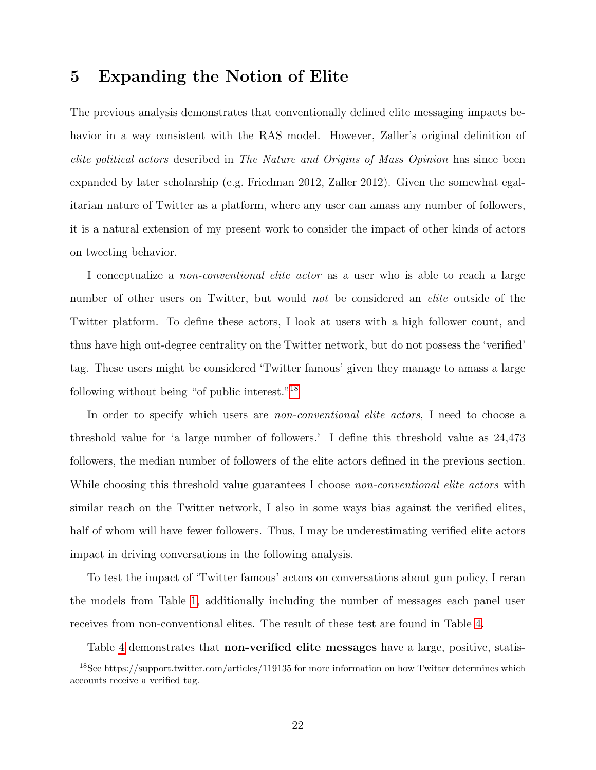### 5 Expanding the Notion of Elite

The previous analysis demonstrates that conventionally defined elite messaging impacts behavior in a way consistent with the RAS model. However, Zaller's original definition of elite political actors described in The Nature and Origins of Mass Opinion has since been expanded by later scholarship (e.g. Friedman 2012, Zaller 2012). Given the somewhat egalitarian nature of Twitter as a platform, where any user can amass any number of followers, it is a natural extension of my present work to consider the impact of other kinds of actors on tweeting behavior.

I conceptualize a *non-conventional elite actor* as a user who is able to reach a large number of other users on Twitter, but would not be considered an *elite* outside of the Twitter platform. To define these actors, I look at users with a high follower count, and thus have high out-degree centrality on the Twitter network, but do not possess the 'verified' tag. These users might be considered 'Twitter famous' given they manage to amass a large following without being "of public interest."[18](#page-0-0)

In order to specify which users are *non-conventional elite actors*, I need to choose a threshold value for 'a large number of followers.' I define this threshold value as 24,473 followers, the median number of followers of the elite actors defined in the previous section. While choosing this threshold value guarantees I choose non-conventional elite actors with similar reach on the Twitter network, I also in some ways bias against the verified elites, half of whom will have fewer followers. Thus, I may be underestimating verified elite actors impact in driving conversations in the following analysis.

To test the impact of 'Twitter famous' actors on conversations about gun policy, I reran the models from Table [1,](#page-14-0) additionally including the number of messages each panel user receives from non-conventional elites. The result of these test are found in Table [4.](#page-22-0)

Table [4](#page-22-0) demonstrates that **non-verified elite messages** have a large, positive, statis-

<sup>&</sup>lt;sup>18</sup>See https://support.twitter.com/articles/119135 for more information on how Twitter determines which accounts receive a verified tag.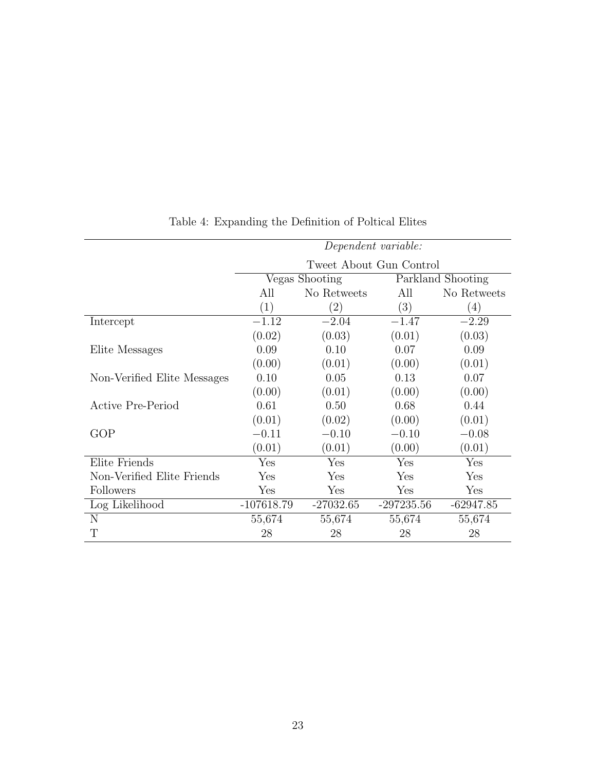<span id="page-22-0"></span>

| Dependent variable:     |                   |                   |                  |
|-------------------------|-------------------|-------------------|------------------|
| Tweet About Gun Control |                   |                   |                  |
|                         |                   | Parkland Shooting |                  |
| No Retweets<br>All      |                   | All               | No Retweets      |
| (1)                     | $\left( 2\right)$ | $\left( 3\right)$ | $\left(4\right)$ |
| $-1.12$                 | $-2.04$           | $-1.47$           | $-2.29$          |
| (0.02)                  | (0.03)            | (0.01)            | (0.03)           |
| 0.09                    | 0.10              | 0.07              | 0.09             |
| (0.00)                  | (0.01)            | (0.00)            | (0.01)           |
| 0.10                    | 0.05              | 0.13              | 0.07             |
| (0.00)                  | (0.01)            | (0.00)            | (0.00)           |
| 0.61                    | 0.50              | 0.68              | 0.44             |
| (0.01)                  | (0.02)            | (0.00)            | (0.01)           |
| $-0.11$                 | $-0.10$           | $-0.10$           | $-0.08$          |
| (0.01)                  | (0.01)            | (0.00)            | (0.01)           |
| Yes                     | Yes               | Yes               | Yes              |
| Yes                     | Yes               | Yes               | Yes              |
| Yes                     | Yes               | Yes               | Yes              |
| $-107618.79$            | $-27032.65$       | $-297235.56$      | $-62947.85$      |
| 55,674                  | 55,674            | 55,674            | 55,674           |
| 28                      | 28                | 28                | 28               |
|                         |                   | Vegas Shooting    |                  |

## Table 4: Expanding the Definition of Poltical Elites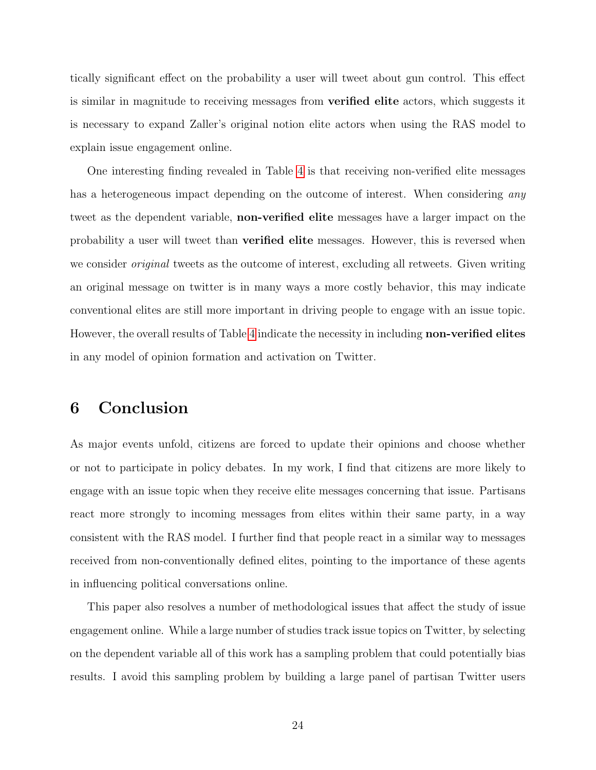tically significant effect on the probability a user will tweet about gun control. This effect is similar in magnitude to receiving messages from verified elite actors, which suggests it is necessary to expand Zaller's original notion elite actors when using the RAS model to explain issue engagement online.

One interesting finding revealed in Table [4](#page-22-0) is that receiving non-verified elite messages has a heterogeneous impact depending on the outcome of interest. When considering any tweet as the dependent variable, non-verified elite messages have a larger impact on the probability a user will tweet than verified elite messages. However, this is reversed when we consider *original* tweets as the outcome of interest, excluding all retweets. Given writing an original message on twitter is in many ways a more costly behavior, this may indicate conventional elites are still more important in driving people to engage with an issue topic. However, the overall results of Table [4](#page-22-0) indicate the necessity in including non-verified elites in any model of opinion formation and activation on Twitter.

### 6 Conclusion

As major events unfold, citizens are forced to update their opinions and choose whether or not to participate in policy debates. In my work, I find that citizens are more likely to engage with an issue topic when they receive elite messages concerning that issue. Partisans react more strongly to incoming messages from elites within their same party, in a way consistent with the RAS model. I further find that people react in a similar way to messages received from non-conventionally defined elites, pointing to the importance of these agents in influencing political conversations online.

This paper also resolves a number of methodological issues that affect the study of issue engagement online. While a large number of studies track issue topics on Twitter, by selecting on the dependent variable all of this work has a sampling problem that could potentially bias results. I avoid this sampling problem by building a large panel of partisan Twitter users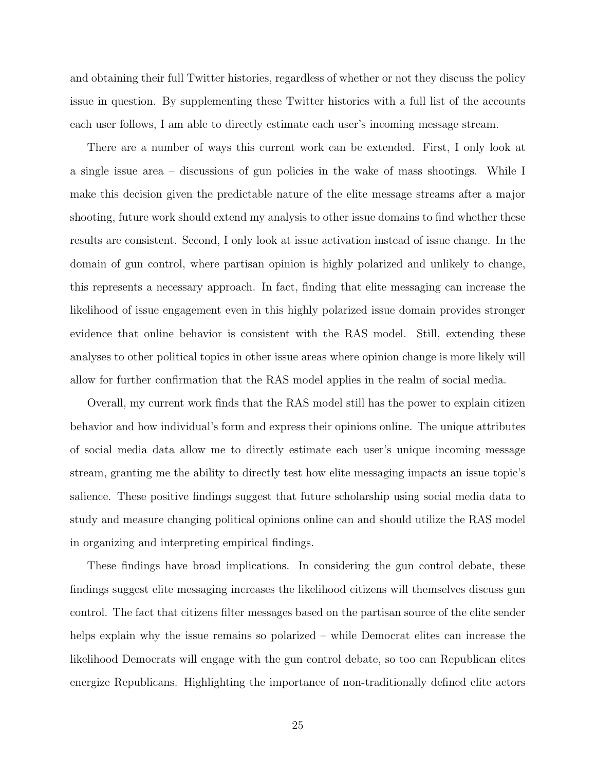and obtaining their full Twitter histories, regardless of whether or not they discuss the policy issue in question. By supplementing these Twitter histories with a full list of the accounts each user follows, I am able to directly estimate each user's incoming message stream.

There are a number of ways this current work can be extended. First, I only look at a single issue area – discussions of gun policies in the wake of mass shootings. While I make this decision given the predictable nature of the elite message streams after a major shooting, future work should extend my analysis to other issue domains to find whether these results are consistent. Second, I only look at issue activation instead of issue change. In the domain of gun control, where partisan opinion is highly polarized and unlikely to change, this represents a necessary approach. In fact, finding that elite messaging can increase the likelihood of issue engagement even in this highly polarized issue domain provides stronger evidence that online behavior is consistent with the RAS model. Still, extending these analyses to other political topics in other issue areas where opinion change is more likely will allow for further confirmation that the RAS model applies in the realm of social media.

Overall, my current work finds that the RAS model still has the power to explain citizen behavior and how individual's form and express their opinions online. The unique attributes of social media data allow me to directly estimate each user's unique incoming message stream, granting me the ability to directly test how elite messaging impacts an issue topic's salience. These positive findings suggest that future scholarship using social media data to study and measure changing political opinions online can and should utilize the RAS model in organizing and interpreting empirical findings.

These findings have broad implications. In considering the gun control debate, these findings suggest elite messaging increases the likelihood citizens will themselves discuss gun control. The fact that citizens filter messages based on the partisan source of the elite sender helps explain why the issue remains so polarized – while Democrat elites can increase the likelihood Democrats will engage with the gun control debate, so too can Republican elites energize Republicans. Highlighting the importance of non-traditionally defined elite actors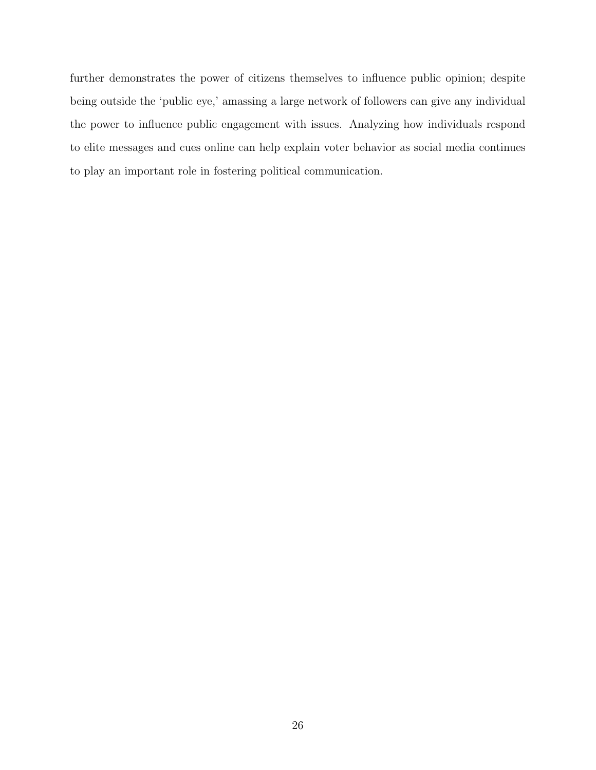further demonstrates the power of citizens themselves to influence public opinion; despite being outside the 'public eye,' amassing a large network of followers can give any individual the power to influence public engagement with issues. Analyzing how individuals respond to elite messages and cues online can help explain voter behavior as social media continues to play an important role in fostering political communication.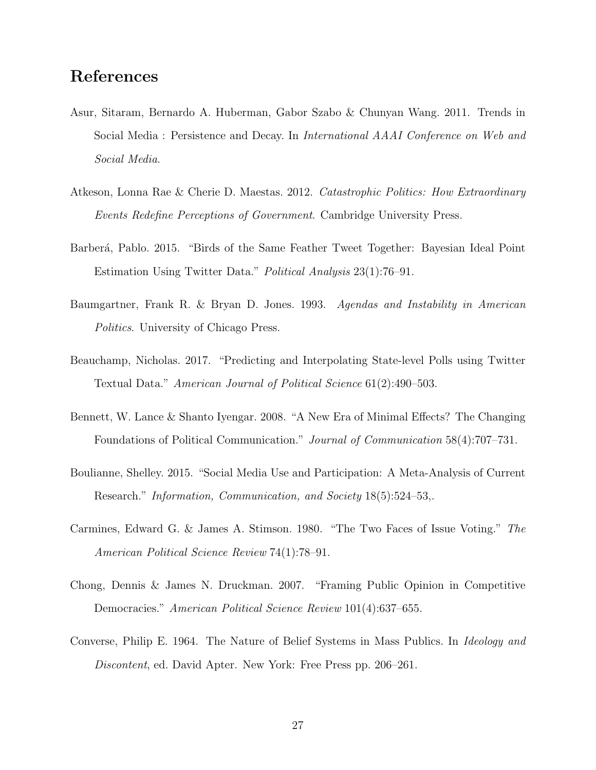### References

- Asur, Sitaram, Bernardo A. Huberman, Gabor Szabo & Chunyan Wang. 2011. Trends in Social Media : Persistence and Decay. In International AAAI Conference on Web and Social Media.
- Atkeson, Lonna Rae & Cherie D. Maestas. 2012. Catastrophic Politics: How Extraordinary Events Redefine Perceptions of Government. Cambridge University Press.
- Barberá, Pablo. 2015. "Birds of the Same Feather Tweet Together: Bayesian Ideal Point Estimation Using Twitter Data." Political Analysis 23(1):76–91.
- Baumgartner, Frank R. & Bryan D. Jones. 1993. Agendas and Instability in American Politics. University of Chicago Press.
- Beauchamp, Nicholas. 2017. "Predicting and Interpolating State-level Polls using Twitter Textual Data." American Journal of Political Science 61(2):490–503.
- Bennett, W. Lance & Shanto Iyengar. 2008. "A New Era of Minimal Effects? The Changing Foundations of Political Communication." Journal of Communication 58(4):707–731.
- Boulianne, Shelley. 2015. "Social Media Use and Participation: A Meta-Analysis of Current Research." Information, Communication, and Society 18(5):524–53,.
- Carmines, Edward G. & James A. Stimson. 1980. "The Two Faces of Issue Voting." The American Political Science Review 74(1):78–91.
- Chong, Dennis & James N. Druckman. 2007. "Framing Public Opinion in Competitive Democracies." American Political Science Review 101(4):637–655.
- Converse, Philip E. 1964. The Nature of Belief Systems in Mass Publics. In Ideology and Discontent, ed. David Apter. New York: Free Press pp. 206–261.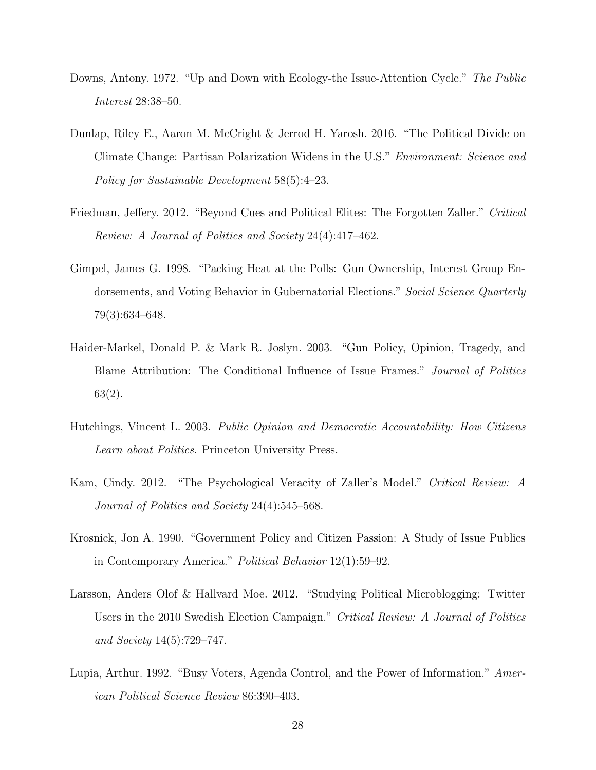- Downs, Antony. 1972. "Up and Down with Ecology-the Issue-Attention Cycle." The Public Interest 28:38–50.
- Dunlap, Riley E., Aaron M. McCright & Jerrod H. Yarosh. 2016. "The Political Divide on Climate Change: Partisan Polarization Widens in the U.S." Environment: Science and Policy for Sustainable Development 58(5):4–23.
- Friedman, Jeffery. 2012. "Beyond Cues and Political Elites: The Forgotten Zaller." Critical Review: A Journal of Politics and Society 24(4):417–462.
- Gimpel, James G. 1998. "Packing Heat at the Polls: Gun Ownership, Interest Group Endorsements, and Voting Behavior in Gubernatorial Elections." Social Science Quarterly 79(3):634–648.
- Haider-Markel, Donald P. & Mark R. Joslyn. 2003. "Gun Policy, Opinion, Tragedy, and Blame Attribution: The Conditional Influence of Issue Frames." Journal of Politics 63(2).
- Hutchings, Vincent L. 2003. Public Opinion and Democratic Accountability: How Citizens Learn about Politics. Princeton University Press.
- Kam, Cindy. 2012. "The Psychological Veracity of Zaller's Model." Critical Review: A Journal of Politics and Society 24(4):545–568.
- Krosnick, Jon A. 1990. "Government Policy and Citizen Passion: A Study of Issue Publics in Contemporary America." Political Behavior 12(1):59–92.
- Larsson, Anders Olof & Hallvard Moe. 2012. "Studying Political Microblogging: Twitter Users in the 2010 Swedish Election Campaign." Critical Review: A Journal of Politics and Society 14(5):729–747.
- Lupia, Arthur. 1992. "Busy Voters, Agenda Control, and the Power of Information." American Political Science Review 86:390–403.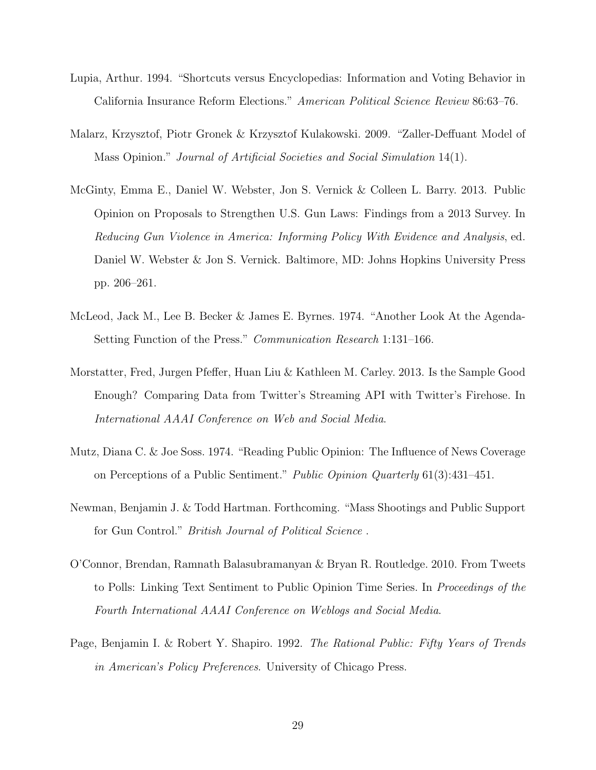- Lupia, Arthur. 1994. "Shortcuts versus Encyclopedias: Information and Voting Behavior in California Insurance Reform Elections." American Political Science Review 86:63–76.
- Malarz, Krzysztof, Piotr Gronek & Krzysztof Kulakowski. 2009. "Zaller-Deffuant Model of Mass Opinion." Journal of Artificial Societies and Social Simulation 14(1).
- McGinty, Emma E., Daniel W. Webster, Jon S. Vernick & Colleen L. Barry. 2013. Public Opinion on Proposals to Strengthen U.S. Gun Laws: Findings from a 2013 Survey. In Reducing Gun Violence in America: Informing Policy With Evidence and Analysis, ed. Daniel W. Webster & Jon S. Vernick. Baltimore, MD: Johns Hopkins University Press pp. 206–261.
- McLeod, Jack M., Lee B. Becker & James E. Byrnes. 1974. "Another Look At the Agenda-Setting Function of the Press." Communication Research 1:131–166.
- Morstatter, Fred, Jurgen Pfeffer, Huan Liu & Kathleen M. Carley. 2013. Is the Sample Good Enough? Comparing Data from Twitter's Streaming API with Twitter's Firehose. In International AAAI Conference on Web and Social Media.
- Mutz, Diana C. & Joe Soss. 1974. "Reading Public Opinion: The Influence of News Coverage on Perceptions of a Public Sentiment." Public Opinion Quarterly 61(3):431–451.
- Newman, Benjamin J. & Todd Hartman. Forthcoming. "Mass Shootings and Public Support for Gun Control." British Journal of Political Science .
- O'Connor, Brendan, Ramnath Balasubramanyan & Bryan R. Routledge. 2010. From Tweets to Polls: Linking Text Sentiment to Public Opinion Time Series. In Proceedings of the Fourth International AAAI Conference on Weblogs and Social Media.
- Page, Benjamin I. & Robert Y. Shapiro. 1992. The Rational Public: Fifty Years of Trends in American's Policy Preferences. University of Chicago Press.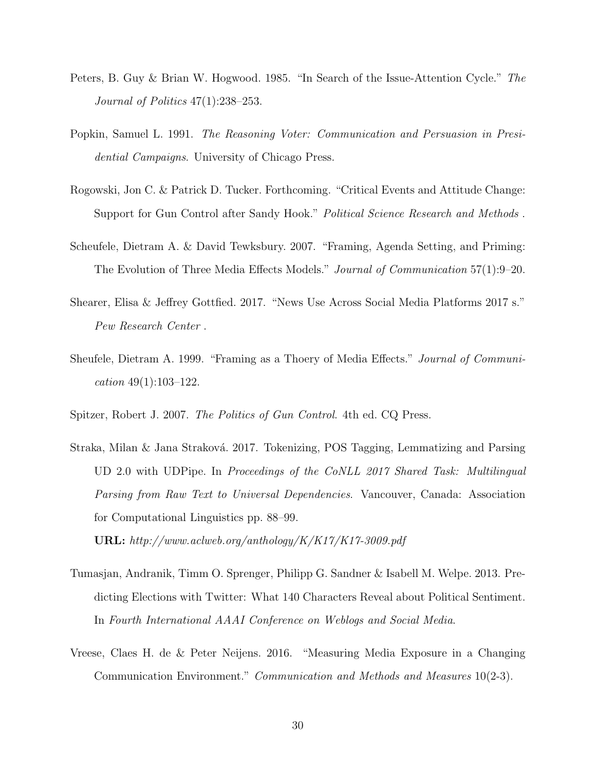- Peters, B. Guy & Brian W. Hogwood. 1985. "In Search of the Issue-Attention Cycle." The Journal of Politics 47(1):238–253.
- Popkin, Samuel L. 1991. The Reasoning Voter: Communication and Persuasion in Presidential Campaigns. University of Chicago Press.
- Rogowski, Jon C. & Patrick D. Tucker. Forthcoming. "Critical Events and Attitude Change: Support for Gun Control after Sandy Hook." Political Science Research and Methods.
- Scheufele, Dietram A. & David Tewksbury. 2007. "Framing, Agenda Setting, and Priming: The Evolution of Three Media Effects Models." Journal of Communication 57(1):9–20.
- Shearer, Elisa & Jeffrey Gottfied. 2017. "News Use Across Social Media Platforms 2017 s." Pew Research Center .
- Sheufele, Dietram A. 1999. "Framing as a Thoery of Media Effects." Journal of Communication 49(1):103–122.
- Spitzer, Robert J. 2007. The Politics of Gun Control. 4th ed. CQ Press.
- Straka, Milan & Jana Straková. 2017. Tokenizing, POS Tagging, Lemmatizing and Parsing UD 2.0 with UDPipe. In Proceedings of the CoNLL 2017 Shared Task: Multilingual Parsing from Raw Text to Universal Dependencies. Vancouver, Canada: Association for Computational Linguistics pp. 88–99. URL: http://www.aclweb.org/anthology/K/K17/K17-3009.pdf
	-
- Tumasjan, Andranik, Timm O. Sprenger, Philipp G. Sandner & Isabell M. Welpe. 2013. Predicting Elections with Twitter: What 140 Characters Reveal about Political Sentiment. In Fourth International AAAI Conference on Weblogs and Social Media.
- Vreese, Claes H. de & Peter Neijens. 2016. "Measuring Media Exposure in a Changing Communication Environment." Communication and Methods and Measures 10(2-3).